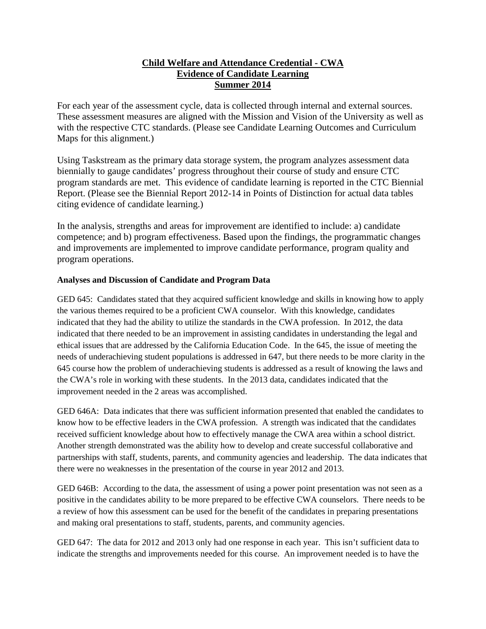## **Child Welfare and Attendance Credential - CWA Evidence of Candidate Learning Summer 2014**

For each year of the assessment cycle, data is collected through internal and external sources. These assessment measures are aligned with the Mission and Vision of the University as well as with the respective CTC standards. (Please see Candidate Learning Outcomes and Curriculum Maps for this alignment.)

Using Taskstream as the primary data storage system, the program analyzes assessment data biennially to gauge candidates' progress throughout their course of study and ensure CTC program standards are met. This evidence of candidate learning is reported in the CTC Biennial Report. (Please see the Biennial Report 2012-14 in Points of Distinction for actual data tables citing evidence of candidate learning.)

In the analysis, strengths and areas for improvement are identified to include: a) candidate competence; and b) program effectiveness. Based upon the findings, the programmatic changes and improvements are implemented to improve candidate performance, program quality and program operations.

## **Analyses and Discussion of Candidate and Program Data**

GED 645: Candidates stated that they acquired sufficient knowledge and skills in knowing how to apply the various themes required to be a proficient CWA counselor. With this knowledge, candidates indicated that they had the ability to utilize the standards in the CWA profession. In 2012, the data indicated that there needed to be an improvement in assisting candidates in understanding the legal and ethical issues that are addressed by the California Education Code. In the 645, the issue of meeting the needs of underachieving student populations is addressed in 647, but there needs to be more clarity in the 645 course how the problem of underachieving students is addressed as a result of knowing the laws and the CWA's role in working with these students. In the 2013 data, candidates indicated that the improvement needed in the 2 areas was accomplished.

GED 646A: Data indicates that there was sufficient information presented that enabled the candidates to know how to be effective leaders in the CWA profession. A strength was indicated that the candidates received sufficient knowledge about how to effectively manage the CWA area within a school district. Another strength demonstrated was the ability how to develop and create successful collaborative and partnerships with staff, students, parents, and community agencies and leadership. The data indicates that there were no weaknesses in the presentation of the course in year 2012 and 2013.

GED 646B: According to the data, the assessment of using a power point presentation was not seen as a positive in the candidates ability to be more prepared to be effective CWA counselors. There needs to be a review of how this assessment can be used for the benefit of the candidates in preparing presentations and making oral presentations to staff, students, parents, and community agencies.

GED 647: The data for 2012 and 2013 only had one response in each year. This isn't sufficient data to indicate the strengths and improvements needed for this course. An improvement needed is to have the